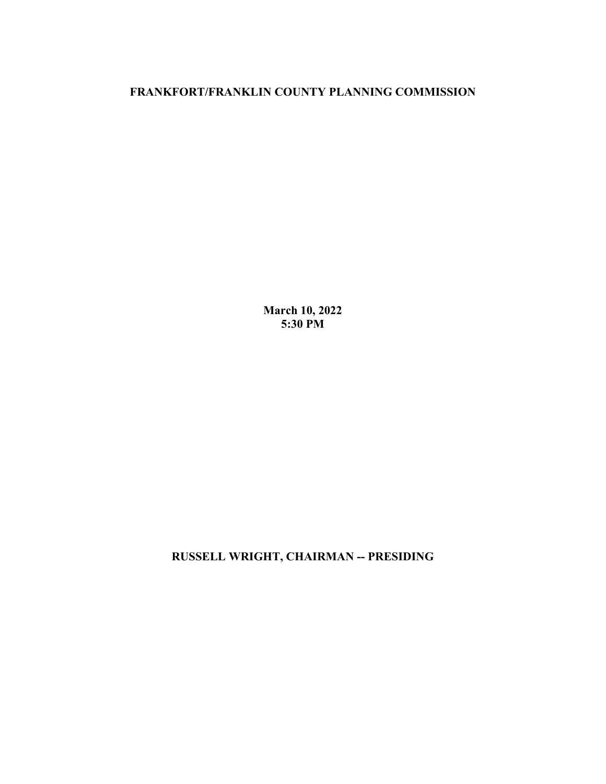## **FRANKFORT/FRANKLIN COUNTY PLANNING COMMISSION**

**March 10, 2022 5:30 PM**

**RUSSELL WRIGHT, CHAIRMAN -- PRESIDING**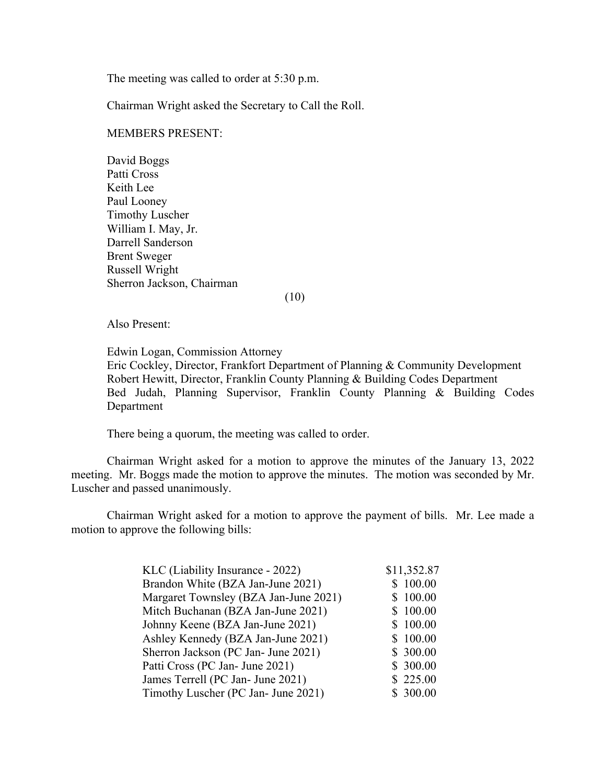The meeting was called to order at 5:30 p.m.

Chairman Wright asked the Secretary to Call the Roll.

## MEMBERS PRESENT:

David Boggs Patti Cross Keith Lee Paul Looney Timothy Luscher William I. May, Jr. Darrell Sanderson Brent Sweger Russell Wright Sherron Jackson, Chairman

(10)

Also Present:

Edwin Logan, Commission Attorney Eric Cockley, Director, Frankfort Department of Planning & Community Development Robert Hewitt, Director, Franklin County Planning & Building Codes Department Bed Judah, Planning Supervisor, Franklin County Planning & Building Codes Department

There being a quorum, the meeting was called to order.

Chairman Wright asked for a motion to approve the minutes of the January 13, 2022 meeting. Mr. Boggs made the motion to approve the minutes. The motion was seconded by Mr. Luscher and passed unanimously.

Chairman Wright asked for a motion to approve the payment of bills. Mr. Lee made a motion to approve the following bills:

| KLC (Liability Insurance - 2022)      | \$11,352.87 |
|---------------------------------------|-------------|
| Brandon White (BZA Jan-June 2021)     | \$100.00    |
| Margaret Townsley (BZA Jan-June 2021) | \$100.00    |
| Mitch Buchanan (BZA Jan-June 2021)    | \$100.00    |
| Johnny Keene (BZA Jan-June 2021)      | \$100.00    |
| Ashley Kennedy (BZA Jan-June 2021)    | \$100.00    |
| Sherron Jackson (PC Jan- June 2021)   | \$300.00    |
| Patti Cross (PC Jan- June 2021)       | \$300.00    |
| James Terrell (PC Jan- June 2021)     | \$225.00    |
| Timothy Luscher (PC Jan- June 2021)   | \$300.00    |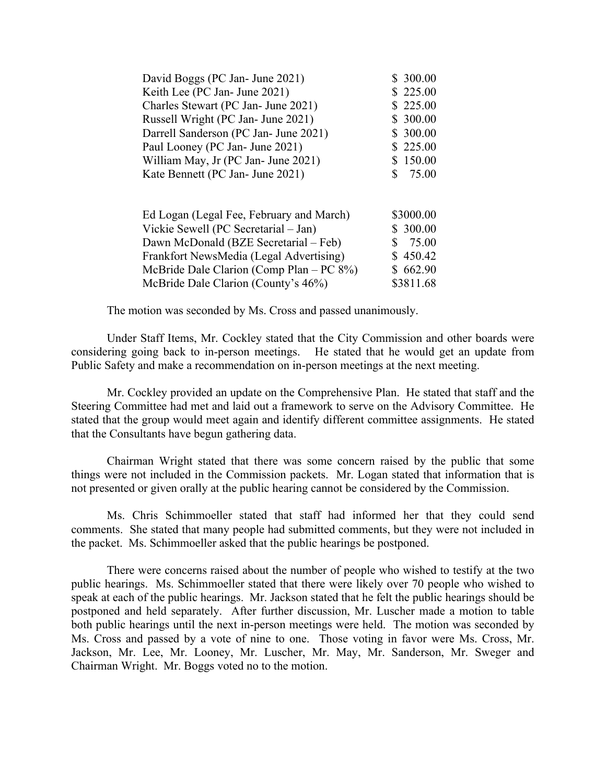| David Boggs (PC Jan- June 2021)       | \$300.00   |
|---------------------------------------|------------|
| Keith Lee (PC Jan- June 2021)         | \$225.00   |
| Charles Stewart (PC Jan- June 2021)   | \$225.00   |
| Russell Wright (PC Jan- June 2021)    | \$300.00   |
| Darrell Sanderson (PC Jan- June 2021) | \$300.00   |
| Paul Looney (PC Jan- June 2021)       | \$225.00   |
| William May, Jr (PC Jan- June 2021)   | \$150.00   |
| Kate Bennett (PC Jan- June 2021)      | 75.00<br>S |
|                                       |            |
|                                       |            |

| Ed Logan (Legal Fee, February and March)     | \$3000.00 |
|----------------------------------------------|-----------|
| Vickie Sewell (PC Secretarial – Jan)         | \$300.00  |
| Dawn McDonald (BZE Secretarial – Feb)        | \$75.00   |
| Frankfort NewsMedia (Legal Advertising)      | \$450.42  |
| McBride Dale Clarion (Comp Plan $- PC 8\%$ ) | \$662.90  |
| McBride Dale Clarion (County's 46%)          | \$3811.68 |

The motion was seconded by Ms. Cross and passed unanimously.

Under Staff Items, Mr. Cockley stated that the City Commission and other boards were considering going back to in-person meetings. He stated that he would get an update from Public Safety and make a recommendation on in-person meetings at the next meeting.

Mr. Cockley provided an update on the Comprehensive Plan. He stated that staff and the Steering Committee had met and laid out a framework to serve on the Advisory Committee. He stated that the group would meet again and identify different committee assignments. He stated that the Consultants have begun gathering data.

Chairman Wright stated that there was some concern raised by the public that some things were not included in the Commission packets. Mr. Logan stated that information that is not presented or given orally at the public hearing cannot be considered by the Commission.

Ms. Chris Schimmoeller stated that staff had informed her that they could send comments. She stated that many people had submitted comments, but they were not included in the packet. Ms. Schimmoeller asked that the public hearings be postponed.

There were concerns raised about the number of people who wished to testify at the two public hearings. Ms. Schimmoeller stated that there were likely over 70 people who wished to speak at each of the public hearings. Mr. Jackson stated that he felt the public hearings should be postponed and held separately. After further discussion, Mr. Luscher made a motion to table both public hearings until the next in-person meetings were held. The motion was seconded by Ms. Cross and passed by a vote of nine to one. Those voting in favor were Ms. Cross, Mr. Jackson, Mr. Lee, Mr. Looney, Mr. Luscher, Mr. May, Mr. Sanderson, Mr. Sweger and Chairman Wright. Mr. Boggs voted no to the motion.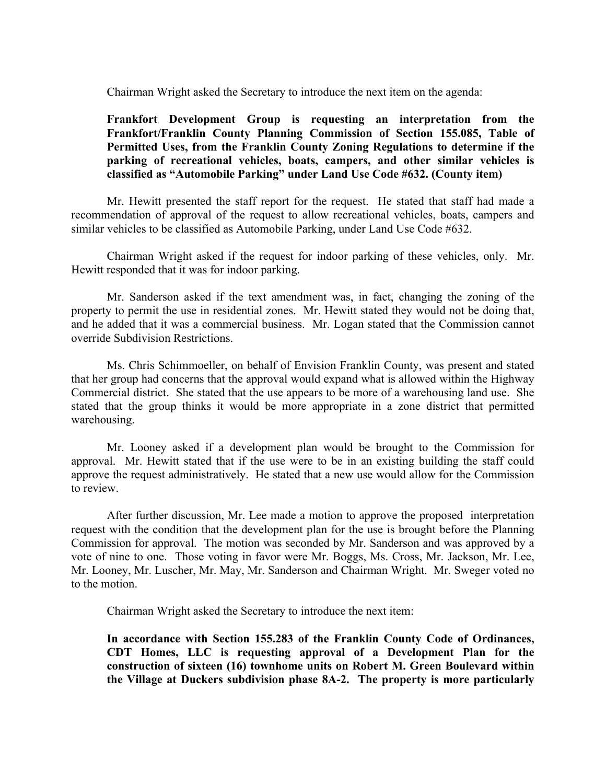Chairman Wright asked the Secretary to introduce the next item on the agenda:

## **Frankfort Development Group is requesting an interpretation from the Frankfort/Franklin County Planning Commission of Section 155.085, Table of Permitted Uses, from the Franklin County Zoning Regulations to determine if the parking of recreational vehicles, boats, campers, and other similar vehicles is classified as "Automobile Parking" under Land Use Code #632. (County item)**

Mr. Hewitt presented the staff report for the request. He stated that staff had made a recommendation of approval of the request to allow recreational vehicles, boats, campers and similar vehicles to be classified as Automobile Parking, under Land Use Code #632.

Chairman Wright asked if the request for indoor parking of these vehicles, only. Mr. Hewitt responded that it was for indoor parking.

Mr. Sanderson asked if the text amendment was, in fact, changing the zoning of the property to permit the use in residential zones. Mr. Hewitt stated they would not be doing that, and he added that it was a commercial business. Mr. Logan stated that the Commission cannot override Subdivision Restrictions.

Ms. Chris Schimmoeller, on behalf of Envision Franklin County, was present and stated that her group had concerns that the approval would expand what is allowed within the Highway Commercial district. She stated that the use appears to be more of a warehousing land use. She stated that the group thinks it would be more appropriate in a zone district that permitted warehousing.

Mr. Looney asked if a development plan would be brought to the Commission for approval. Mr. Hewitt stated that if the use were to be in an existing building the staff could approve the request administratively. He stated that a new use would allow for the Commission to review.

After further discussion, Mr. Lee made a motion to approve the proposed interpretation request with the condition that the development plan for the use is brought before the Planning Commission for approval. The motion was seconded by Mr. Sanderson and was approved by a vote of nine to one. Those voting in favor were Mr. Boggs, Ms. Cross, Mr. Jackson, Mr. Lee, Mr. Looney, Mr. Luscher, Mr. May, Mr. Sanderson and Chairman Wright. Mr. Sweger voted no to the motion.

Chairman Wright asked the Secretary to introduce the next item:

**In accordance with Section 155.283 of the Franklin County Code of Ordinances, CDT Homes, LLC is requesting approval of a Development Plan for the construction of sixteen (16) townhome units on Robert M. Green Boulevard within the Village at Duckers subdivision phase 8A-2. The property is more particularly**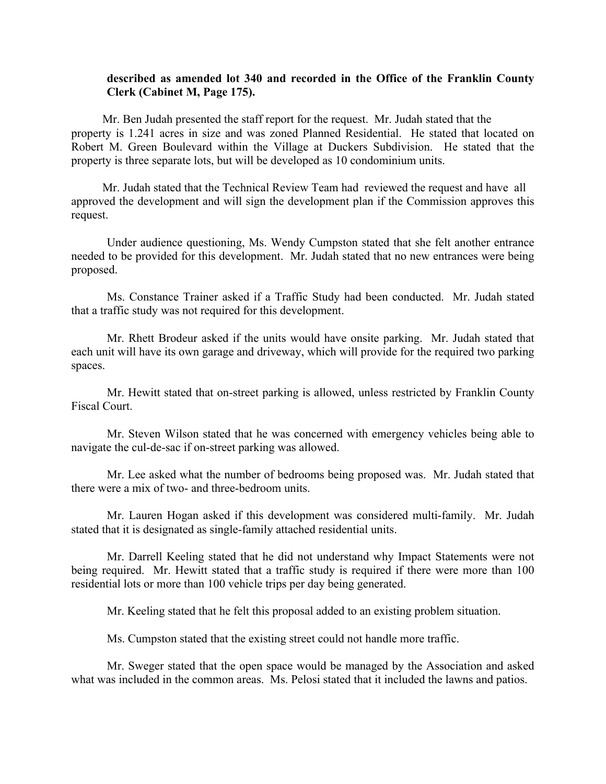## **described as amended lot 340 and recorded in the Office of the Franklin County Clerk (Cabinet M, Page 175).**

Mr. Ben Judah presented the staff report for the request. Mr. Judah stated that the property is 1.241 acres in size and was zoned Planned Residential. He stated that located on Robert M. Green Boulevard within the Village at Duckers Subdivision. He stated that the property is three separate lots, but will be developed as 10 condominium units.

Mr. Judah stated that the Technical Review Team had reviewed the request and have all approved the development and will sign the development plan if the Commission approves this request.

Under audience questioning, Ms. Wendy Cumpston stated that she felt another entrance needed to be provided for this development. Mr. Judah stated that no new entrances were being proposed.

Ms. Constance Trainer asked if a Traffic Study had been conducted. Mr. Judah stated that a traffic study was not required for this development.

Mr. Rhett Brodeur asked if the units would have onsite parking. Mr. Judah stated that each unit will have its own garage and driveway, which will provide for the required two parking spaces.

Mr. Hewitt stated that on-street parking is allowed, unless restricted by Franklin County Fiscal Court.

Mr. Steven Wilson stated that he was concerned with emergency vehicles being able to navigate the cul-de-sac if on-street parking was allowed.

Mr. Lee asked what the number of bedrooms being proposed was. Mr. Judah stated that there were a mix of two- and three-bedroom units.

Mr. Lauren Hogan asked if this development was considered multi-family. Mr. Judah stated that it is designated as single-family attached residential units.

Mr. Darrell Keeling stated that he did not understand why Impact Statements were not being required. Mr. Hewitt stated that a traffic study is required if there were more than 100 residential lots or more than 100 vehicle trips per day being generated.

Mr. Keeling stated that he felt this proposal added to an existing problem situation.

Ms. Cumpston stated that the existing street could not handle more traffic.

Mr. Sweger stated that the open space would be managed by the Association and asked what was included in the common areas. Ms. Pelosi stated that it included the lawns and patios.